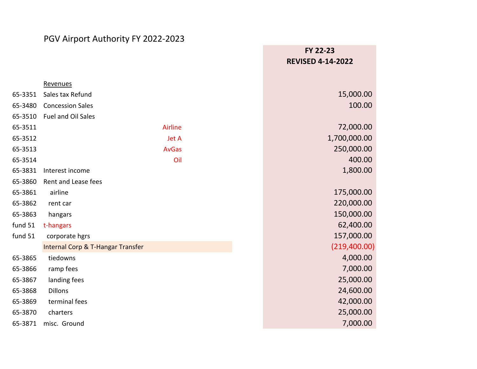## PGV Airport Authority FY 2022-2023

|         |                                   | FY 22-23                 |
|---------|-----------------------------------|--------------------------|
|         |                                   | <b>REVISED 4-14-2022</b> |
|         |                                   |                          |
|         | Revenues                          |                          |
| 65-3351 | Sales tax Refund                  | 15,000.00                |
| 65-3480 | <b>Concession Sales</b>           | 100.00                   |
| 65-3510 | Fuel and Oil Sales                |                          |
| 65-3511 | <b>Airline</b>                    | 72,000.00                |
| 65-3512 | Jet A                             | 1,700,000.00             |
| 65-3513 | <b>AvGas</b>                      | 250,000.00               |
| 65-3514 | Oil                               | 400.00                   |
| 65-3831 | Interest income                   | 1,800.00                 |
| 65-3860 | Rent and Lease fees               |                          |
| 65-3861 | airline                           | 175,000.00               |
| 65-3862 | rent car                          | 220,000.00               |
| 65-3863 | hangars                           | 150,000.00               |
| fund 51 | t-hangars                         | 62,400.00                |
| fund 51 | corporate hgrs                    | 157,000.00               |
|         | Internal Corp & T-Hangar Transfer | (219, 400.00)            |
| 65-3865 | tiedowns                          | 4,000.00                 |
| 65-3866 | ramp fees                         | 7,000.00                 |
| 65-3867 | landing fees                      | 25,000.00                |
| 65-3868 | <b>Dillons</b>                    | 24,600.00                |
| 65-3869 | terminal fees                     | 42,000.00                |
| 65-3870 | charters                          | 25,000.00                |
| 65-3871 | misc. Ground                      | 7,000.00                 |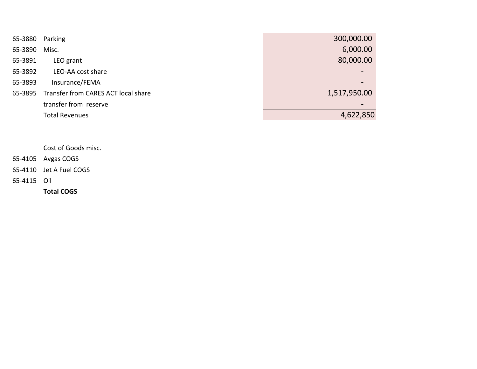| 65-3880 Parking |                                     | 300,000.00   |
|-----------------|-------------------------------------|--------------|
| 65-3890         | Misc.                               | 6,000.00     |
| 65-3891         | LEO grant                           | 80,000.00    |
| 65-3892         | LEO-AA cost share                   |              |
| 65-3893         | Insurance/FEMA                      |              |
| 65-3895         | Transfer from CARES ACT local share | 1,517,950.00 |
|                 | transfer from reserve               |              |
|                 | <b>Total Revenues</b>               | 4,622,850    |
|                 |                                     |              |

Cost of Goods misc.

- 65-4105 Avgas COGS
- 65-4110 Jet A Fuel COGS

65-4115 Oil

**Total COGS**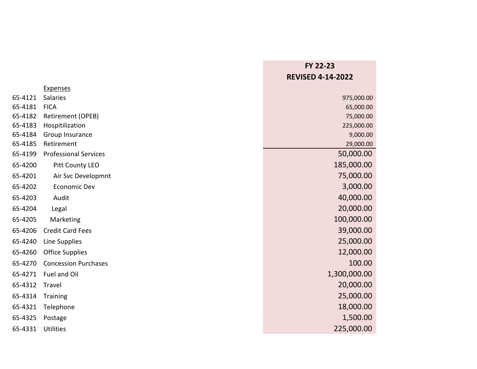|         |                              | FY 22-23                 |
|---------|------------------------------|--------------------------|
|         |                              | <b>REVISED 4-14-2022</b> |
|         | <b>Expenses</b>              |                          |
| 65-4121 | Salaries                     | 975,000.00               |
| 65-4181 | <b>FICA</b>                  | 65,000.00                |
| 65-4182 | Retirement (OPEB)            | 75,000.00                |
| 65-4183 | Hospitilization              | 225,000.00               |
| 65-4184 | Group Insurance              | 9,000.00                 |
| 65-4185 | Retirement                   | 29,000.00                |
| 65-4199 | <b>Professional Services</b> | 50,000.00                |
| 65-4200 | Pitt County LEO              | 185,000.00               |
| 65-4201 | Air Svc Developmnt           | 75,000.00                |
| 65-4202 | <b>Economic Dev</b>          | 3,000.00                 |
| 65-4203 | Audit                        | 40,000.00                |
| 65-4204 | Legal                        | 20,000.00                |
| 65-4205 | Marketing                    | 100,000.00               |
| 65-4206 | <b>Credit Card Fees</b>      | 39,000.00                |
| 65-4240 | Line Supplies                | 25,000.00                |
| 65-4260 | <b>Office Supplies</b>       | 12,000.00                |
| 65-4270 | <b>Concession Purchases</b>  | 100.00                   |
| 65-4271 | Fuel and Oil                 | 1,300,000.00             |
| 65-4312 | Travel                       | 20,000.00                |
| 65-4314 | Training                     | 25,000.00                |
| 65-4321 | Telephone                    | 18,000.00                |
| 65-4325 | Postage                      | 1,500.00                 |
| 65-4331 | <b>Utilities</b>             | 225,000.00               |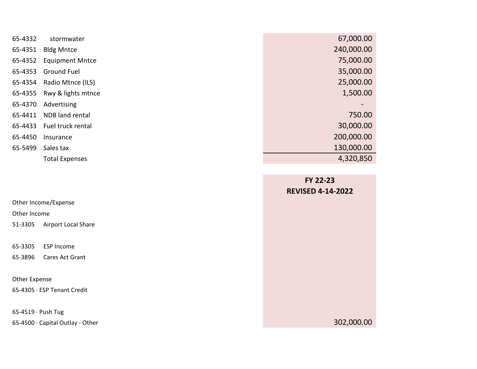| 65-4332 | stormwater             | 67,000.00  |
|---------|------------------------|------------|
| 65-4351 | <b>Bldg Mntce</b>      | 240,000.00 |
| 65-4352 | <b>Equipment Mntce</b> | 75,000.00  |
| 65-4353 | <b>Ground Fuel</b>     | 35,000.00  |
| 65-4354 | Radio Mtnce (ILS)      | 25,000.00  |
| 65-4355 | Rwy & lights mtnce     | 1,500.00   |
| 65-4370 | Advertising            |            |
| 65-4411 | NDB land rental        | 750.00     |
| 65-4433 | Fuel truck rental      | 30,000.00  |
| 65-4450 | Insurance              | 200,000.00 |
| 65-5499 | Sales tax              | 130,000.00 |
|         | <b>Total Expenses</b>  | 4,320,850  |

|                                  | FY 22-23                 |
|----------------------------------|--------------------------|
|                                  | <b>REVISED 4-14-2022</b> |
| Other Income/Expense             |                          |
| Other Income                     |                          |
| Airport Local Share<br>51-3305   |                          |
|                                  |                          |
| 65-3305<br><b>ESP Income</b>     |                          |
| 65-3896<br>Cares Act Grant       |                          |
|                                  |                          |
| Other Expense                    |                          |
| 65-4305 · ESP Tenant Credit      |                          |
|                                  |                          |
| 65-4519 · Push Tug               |                          |
| 65-4500 · Capital Outlay - Other | 302,000.00               |